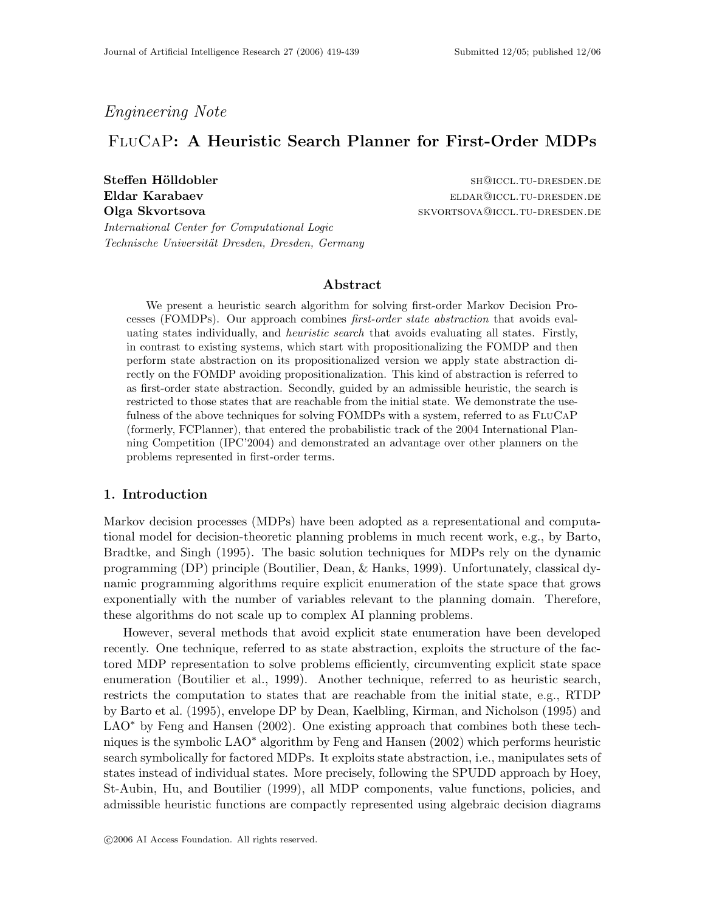# Engineering Note

# FluCaP: A Heuristic Search Planner for First-Order MDPs

Steffen Hölldobler shaw are shall been shared as shall be shall been shall be shall be shall be shall be shall be shall be shall be shall be shall be shall be shall be shall be shall be shall be shall be shall be shall be Eldar Karabaev eldar eldar karabaev eldar eldar eldar eldar eldar eldar eldar eldar eldar eldar eldar eldar el Olga Skvortsova skvortsova skvortsova skvortsova skvortsova skvortsova skvortsova skonte i dresden.den.den.den

International Center for Computational Logic Technische Universität Dresden, Dresden, Germany

## Abstract

We present a heuristic search algorithm for solving first-order Markov Decision Processes (FOMDPs). Our approach combines first-order state abstraction that avoids evaluating states individually, and heuristic search that avoids evaluating all states. Firstly, in contrast to existing systems, which start with propositionalizing the FOMDP and then perform state abstraction on its propositionalized version we apply state abstraction directly on the FOMDP avoiding propositionalization. This kind of abstraction is referred to as first-order state abstraction. Secondly, guided by an admissible heuristic, the search is restricted to those states that are reachable from the initial state. We demonstrate the usefulness of the above techniques for solving FOMDPs with a system, referred to as FLUCAP (formerly, FCPlanner), that entered the probabilistic track of the 2004 International Planning Competition (IPC'2004) and demonstrated an advantage over other planners on the problems represented in first-order terms.

### 1. Introduction

Markov decision processes (MDPs) have been adopted as a representational and computational model for decision-theoretic planning problems in much recent work, e.g., by Barto, Bradtke, and Singh (1995). The basic solution techniques for MDPs rely on the dynamic programming (DP) principle (Boutilier, Dean, & Hanks, 1999). Unfortunately, classical dynamic programming algorithms require explicit enumeration of the state space that grows exponentially with the number of variables relevant to the planning domain. Therefore, these algorithms do not scale up to complex AI planning problems.

However, several methods that avoid explicit state enumeration have been developed recently. One technique, referred to as state abstraction, exploits the structure of the factored MDP representation to solve problems efficiently, circumventing explicit state space enumeration (Boutilier et al., 1999). Another technique, referred to as heuristic search, restricts the computation to states that are reachable from the initial state, e.g., RTDP by Barto et al. (1995), envelope DP by Dean, Kaelbling, Kirman, and Nicholson (1995) and LAO<sup>\*</sup> by Feng and Hansen (2002). One existing approach that combines both these techniques is the symbolic LAO<sup>∗</sup> algorithm by Feng and Hansen (2002) which performs heuristic search symbolically for factored MDPs. It exploits state abstraction, i.e., manipulates sets of states instead of individual states. More precisely, following the SPUDD approach by Hoey, St-Aubin, Hu, and Boutilier (1999), all MDP components, value functions, policies, and admissible heuristic functions are compactly represented using algebraic decision diagrams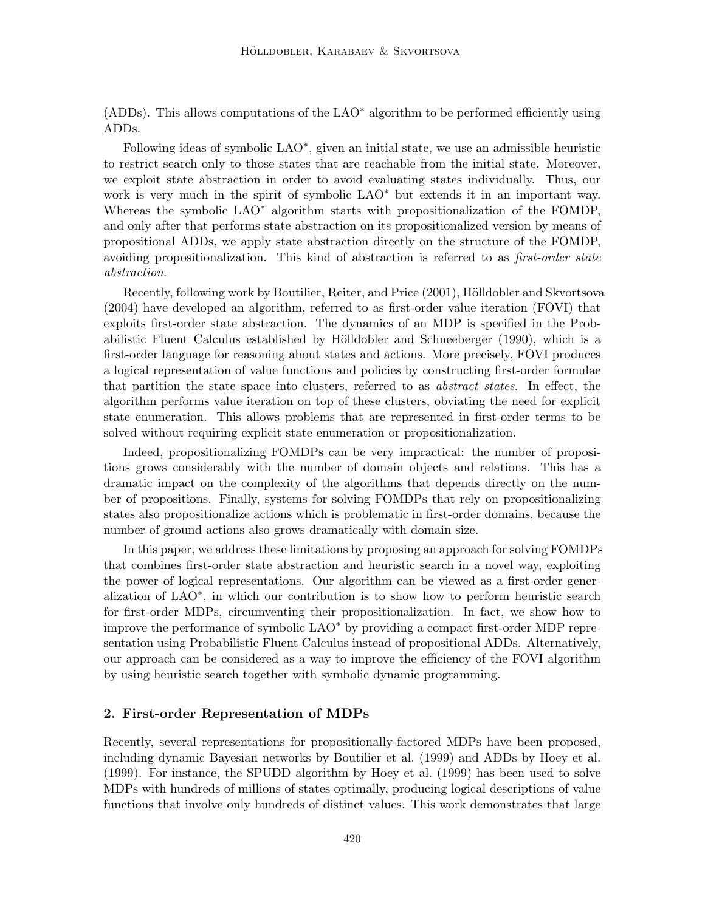(ADDs). This allows computations of the LAO<sup>∗</sup> algorithm to be performed efficiently using ADDs.

Following ideas of symbolic LAO<sup>\*</sup>, given an initial state, we use an admissible heuristic to restrict search only to those states that are reachable from the initial state. Moreover, we exploit state abstraction in order to avoid evaluating states individually. Thus, our work is very much in the spirit of symbolic LAO<sup>∗</sup> but extends it in an important way. Whereas the symbolic LAO<sup>∗</sup> algorithm starts with propositionalization of the FOMDP, and only after that performs state abstraction on its propositionalized version by means of propositional ADDs, we apply state abstraction directly on the structure of the FOMDP, avoiding propositionalization. This kind of abstraction is referred to as *first-order state* abstraction.

Recently, following work by Boutilier, Reiter, and Price (2001), Hölldobler and Skvortsova (2004) have developed an algorithm, referred to as first-order value iteration (FOVI) that exploits first-order state abstraction. The dynamics of an MDP is specified in the Probabilistic Fluent Calculus established by Hölldobler and Schneeberger (1990), which is a first-order language for reasoning about states and actions. More precisely, FOVI produces a logical representation of value functions and policies by constructing first-order formulae that partition the state space into clusters, referred to as abstract states. In effect, the algorithm performs value iteration on top of these clusters, obviating the need for explicit state enumeration. This allows problems that are represented in first-order terms to be solved without requiring explicit state enumeration or propositionalization.

Indeed, propositionalizing FOMDPs can be very impractical: the number of propositions grows considerably with the number of domain objects and relations. This has a dramatic impact on the complexity of the algorithms that depends directly on the number of propositions. Finally, systems for solving FOMDPs that rely on propositionalizing states also propositionalize actions which is problematic in first-order domains, because the number of ground actions also grows dramatically with domain size.

In this paper, we address these limitations by proposing an approach for solving FOMDPs that combines first-order state abstraction and heuristic search in a novel way, exploiting the power of logical representations. Our algorithm can be viewed as a first-order generalization of LAO<sup>∗</sup> , in which our contribution is to show how to perform heuristic search for first-order MDPs, circumventing their propositionalization. In fact, we show how to improve the performance of symbolic LAO<sup>∗</sup> by providing a compact first-order MDP representation using Probabilistic Fluent Calculus instead of propositional ADDs. Alternatively, our approach can be considered as a way to improve the efficiency of the FOVI algorithm by using heuristic search together with symbolic dynamic programming.

## 2. First-order Representation of MDPs

Recently, several representations for propositionally-factored MDPs have been proposed, including dynamic Bayesian networks by Boutilier et al. (1999) and ADDs by Hoey et al. (1999). For instance, the SPUDD algorithm by Hoey et al. (1999) has been used to solve MDPs with hundreds of millions of states optimally, producing logical descriptions of value functions that involve only hundreds of distinct values. This work demonstrates that large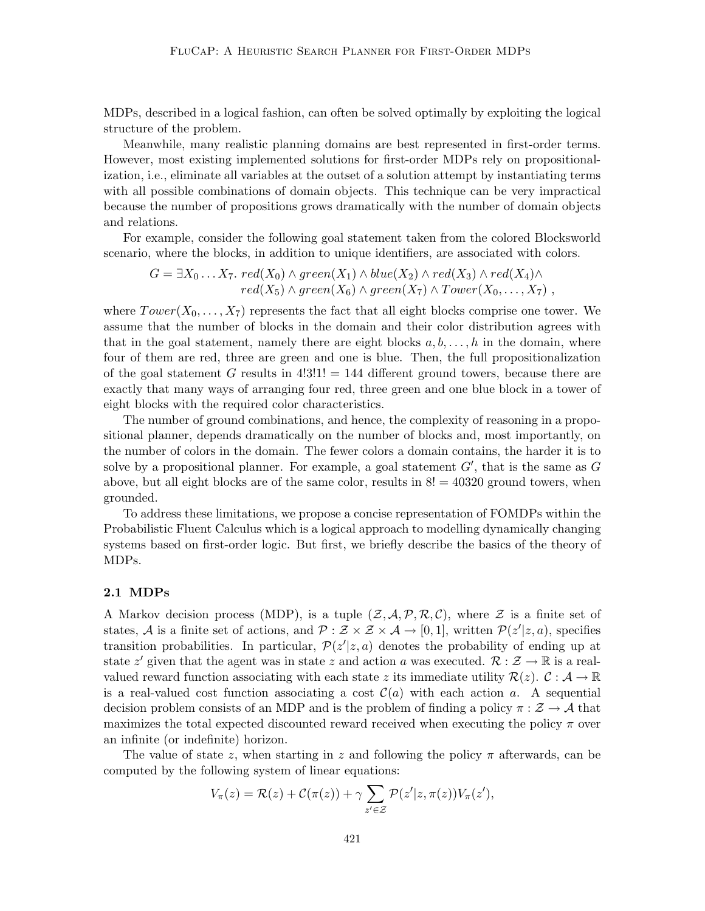MDPs, described in a logical fashion, can often be solved optimally by exploiting the logical structure of the problem.

Meanwhile, many realistic planning domains are best represented in first-order terms. However, most existing implemented solutions for first-order MDPs rely on propositionalization, i.e., eliminate all variables at the outset of a solution attempt by instantiating terms with all possible combinations of domain objects. This technique can be very impractical because the number of propositions grows dramatically with the number of domain objects and relations.

For example, consider the following goal statement taken from the colored Blocksworld scenario, where the blocks, in addition to unique identifiers, are associated with colors.

 $G = \exists X_0 \ldots X_7.\ \mathit{red}(X_0) \wedge \mathit{green}(X_1) \wedge \mathit{blue}(X_2) \wedge \mathit{red}(X_3) \wedge \mathit{red}(X_4) \wedge$  $red(X_5) \wedge green(X_6) \wedge green(X_7) \wedge Tower(X_0, \ldots, X_7)$ ,

where  $Tower(X_0, \ldots, X_7)$  represents the fact that all eight blocks comprise one tower. We assume that the number of blocks in the domain and their color distribution agrees with that in the goal statement, namely there are eight blocks  $a, b, \ldots, h$  in the domain, where four of them are red, three are green and one is blue. Then, the full propositionalization of the goal statement G results in  $4!3!1! = 144$  different ground towers, because there are exactly that many ways of arranging four red, three green and one blue block in a tower of eight blocks with the required color characteristics.

The number of ground combinations, and hence, the complexity of reasoning in a propositional planner, depends dramatically on the number of blocks and, most importantly, on the number of colors in the domain. The fewer colors a domain contains, the harder it is to solve by a propositional planner. For example, a goal statement  $G'$ , that is the same as  $G$ above, but all eight blocks are of the same color, results in  $8! = 40320$  ground towers, when grounded.

To address these limitations, we propose a concise representation of FOMDPs within the Probabilistic Fluent Calculus which is a logical approach to modelling dynamically changing systems based on first-order logic. But first, we briefly describe the basics of the theory of MDPs.

### 2.1 MDPs

A Markov decision process (MDP), is a tuple  $(\mathcal{Z}, \mathcal{A}, \mathcal{P}, \mathcal{R}, \mathcal{C})$ , where  $\mathcal{Z}$  is a finite set of states, A is a finite set of actions, and  $P: \mathcal{Z} \times \mathcal{Z} \times \mathcal{A} \to [0,1]$ , written  $\mathcal{P}(z'|z,a)$ , specifies transition probabilities. In particular,  $\mathcal{P}(z'|z,a)$  denotes the probability of ending up at state z' given that the agent was in state z and action a was executed.  $\mathcal{R}: \mathcal{Z} \to \mathbb{R}$  is a realvalued reward function associating with each state z its immediate utility  $\mathcal{R}(z)$ .  $\mathcal{C}: \mathcal{A} \to \mathbb{R}$ is a real-valued cost function associating a cost  $\mathcal{C}(a)$  with each action a. A sequential decision problem consists of an MDP and is the problem of finding a policy  $\pi : \mathcal{Z} \to \mathcal{A}$  that maximizes the total expected discounted reward received when executing the policy  $\pi$  over an infinite (or indefinite) horizon.

The value of state z, when starting in z and following the policy  $\pi$  afterwards, can be computed by the following system of linear equations:

$$
V_{\pi}(z) = \mathcal{R}(z) + \mathcal{C}(\pi(z)) + \gamma \sum_{z' \in \mathcal{Z}} \mathcal{P}(z'|z, \pi(z)) V_{\pi}(z'),
$$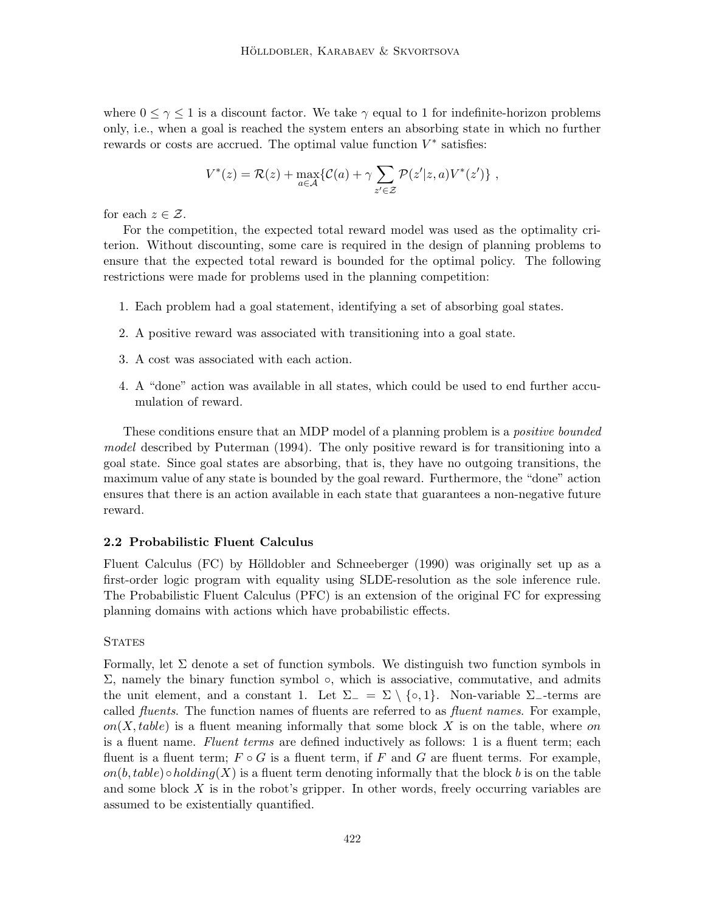where  $0 \leq \gamma \leq 1$  is a discount factor. We take  $\gamma$  equal to 1 for indefinite-horizon problems only, i.e., when a goal is reached the system enters an absorbing state in which no further rewards or costs are accrued. The optimal value function  $V^*$  satisfies:

$$
V^*(z) = \mathcal{R}(z) + \max_{a \in \mathcal{A}} \{ \mathcal{C}(a) + \gamma \sum_{z' \in \mathcal{Z}} \mathcal{P}(z'|z, a) V^*(z') \},
$$

for each  $z \in \mathcal{Z}$ .

For the competition, the expected total reward model was used as the optimality criterion. Without discounting, some care is required in the design of planning problems to ensure that the expected total reward is bounded for the optimal policy. The following restrictions were made for problems used in the planning competition:

- 1. Each problem had a goal statement, identifying a set of absorbing goal states.
- 2. A positive reward was associated with transitioning into a goal state.
- 3. A cost was associated with each action.
- 4. A "done" action was available in all states, which could be used to end further accumulation of reward.

These conditions ensure that an MDP model of a planning problem is a positive bounded model described by Puterman (1994). The only positive reward is for transitioning into a goal state. Since goal states are absorbing, that is, they have no outgoing transitions, the maximum value of any state is bounded by the goal reward. Furthermore, the "done" action ensures that there is an action available in each state that guarantees a non-negative future reward.

### 2.2 Probabilistic Fluent Calculus

Fluent Calculus (FC) by Hölldobler and Schneeberger  $(1990)$  was originally set up as a first-order logic program with equality using SLDE-resolution as the sole inference rule. The Probabilistic Fluent Calculus (PFC) is an extension of the original FC for expressing planning domains with actions which have probabilistic effects.

### **STATES**

Formally, let  $\Sigma$  denote a set of function symbols. We distinguish two function symbols in  $\Sigma$ , namely the binary function symbol  $\circ$ , which is associative, commutative, and admits the unit element, and a constant 1. Let  $\Sigma_-\equiv \Sigma \setminus \{ \circ, 1 \}.$  Non-variable  $\Sigma_-$ -terms are called *fluents*. The function names of fluents are referred to as *fluent names*. For example,  $on(X, table)$  is a fluent meaning informally that some block X is on the table, where on is a fluent name. Fluent terms are defined inductively as follows: 1 is a fluent term; each fluent is a fluent term;  $F \circ G$  is a fluent term, if F and G are fluent terms. For example,  $on(b, table) \circ holding(X)$  is a fluent term denoting informally that the block b is on the table and some block  $X$  is in the robot's gripper. In other words, freely occurring variables are assumed to be existentially quantified.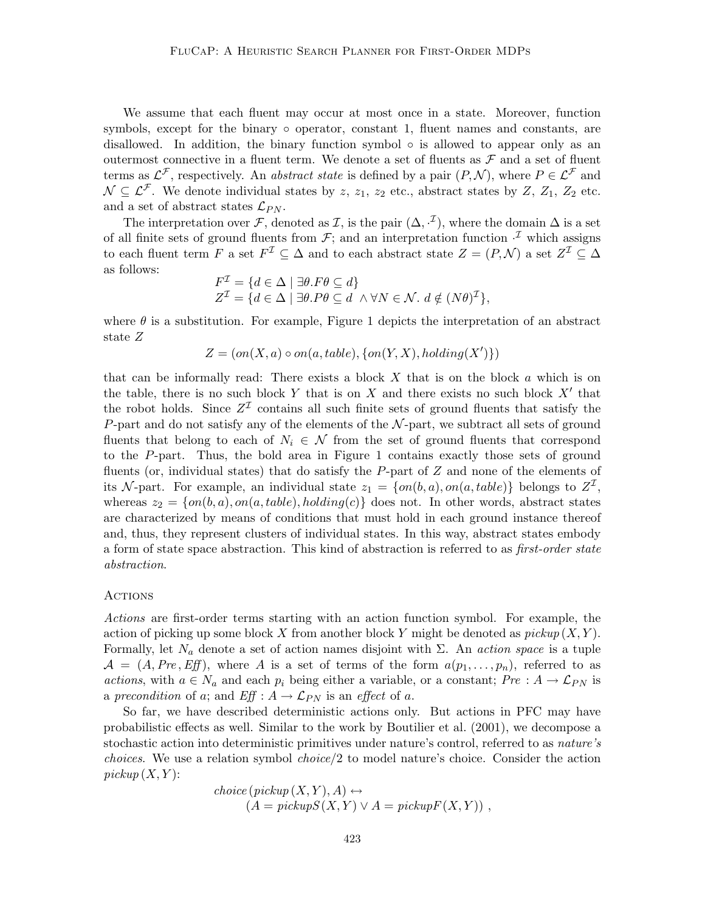We assume that each fluent may occur at most once in a state. Moreover, function symbols, except for the binary  $\circ$  operator, constant 1, fluent names and constants, are disallowed. In addition, the binary function symbol  $\circ$  is allowed to appear only as an outermost connective in a fluent term. We denote a set of fluents as  $\mathcal F$  and a set of fluent terms as  $\mathcal{L}^{\mathcal{F}}$ , respectively. An *abstract state* is defined by a pair  $(P, \mathcal{N})$ , where  $P \in \mathcal{L}^{\mathcal{F}}$  and  $\mathcal{N} \subseteq \mathcal{L}^{\mathcal{F}}$ . We denote individual states by z,  $z_1$ ,  $z_2$  etc., abstract states by Z,  $Z_1$ ,  $Z_2$  etc. and a set of abstract states  $\mathcal{L}_{PN}$ .

The interpretation over F, denoted as I, is the pair  $(\Delta, \cdot^{\mathcal{I}})$ , where the domain  $\Delta$  is a set of all finite sets of ground fluents from  $\mathcal{F}$ ; and an interpretation function  $\cdot^{\mathcal{I}}$  which assigns to each fluent term F a set  $F^{\mathcal{I}} \subseteq \Delta$  and to each abstract state  $Z = (P, \mathcal{N})$  a set  $Z^{\mathcal{I}} \subseteq \Delta$ as follows:

$$
F^{\mathcal{I}} = \{ d \in \Delta \mid \exists \theta . F\theta \subseteq d \}
$$
  

$$
Z^{\mathcal{I}} = \{ d \in \Delta \mid \exists \theta . P\theta \subseteq d \land \forall N \in \mathcal{N}.\ d \notin (N\theta)^{\mathcal{I}} \},
$$

where  $\theta$  is a substitution. For example, Figure 1 depicts the interpretation of an abstract state Z

$$
Z = (on(X, a) \circ on(a, table), \{on(Y, X), holding(X')\})
$$

that can be informally read: There exists a block  $X$  that is on the block  $\alpha$  which is on the table, there is no such block Y that is on X and there exists no such block  $X'$  that the robot holds. Since  $Z^{\mathcal{I}}$  contains all such finite sets of ground fluents that satisfy the P-part and do not satisfy any of the elements of the  $N$ -part, we subtract all sets of ground fluents that belong to each of  $N_i \in \mathcal{N}$  from the set of ground fluents that correspond to the P-part. Thus, the bold area in Figure 1 contains exactly those sets of ground fluents (or, individual states) that do satisfy the P-part of  $Z$  and none of the elements of its N-part. For example, an individual state  $z_1 = \{on(b, a), on(a, table)\}\$  belongs to  $Z<sup>T</sup>$ , whereas  $z_2 = \{on(b, a), on(a, table), holding(c)\}\$  does not. In other words, abstract states are characterized by means of conditions that must hold in each ground instance thereof and, thus, they represent clusters of individual states. In this way, abstract states embody a form of state space abstraction. This kind of abstraction is referred to as *first-order state* abstraction.

#### **ACTIONS**

Actions are first-order terms starting with an action function symbol. For example, the action of picking up some block X from another block Y might be denoted as  $pickup(X, Y)$ . Formally, let  $N_a$  denote a set of action names disjoint with  $\Sigma$ . An *action space* is a tuple  $\mathcal{A} = (A, Pre, Eff)$ , where A is a set of terms of the form  $a(p_1, \ldots, p_n)$ , referred to as actions, with  $a \in N_a$  and each  $p_i$  being either a variable, or a constant;  $Pre : A \rightarrow \mathcal{L}_{PN}$  is a precondition of a; and  $Eff : A \rightarrow \mathcal{L}_{PN}$  is an effect of a.

So far, we have described deterministic actions only. But actions in PFC may have probabilistic effects as well. Similar to the work by Boutilier et al. (2001), we decompose a stochastic action into deterministic primitives under nature's control, referred to as nature's choices. We use a relation symbol choice/2 to model nature's choice. Consider the action  $picture(X, Y)$ :

$$
choice(pickup(X, Y), A) \leftrightarrow (A = pickupS(X, Y) \lor A = pickupF(X, Y)),
$$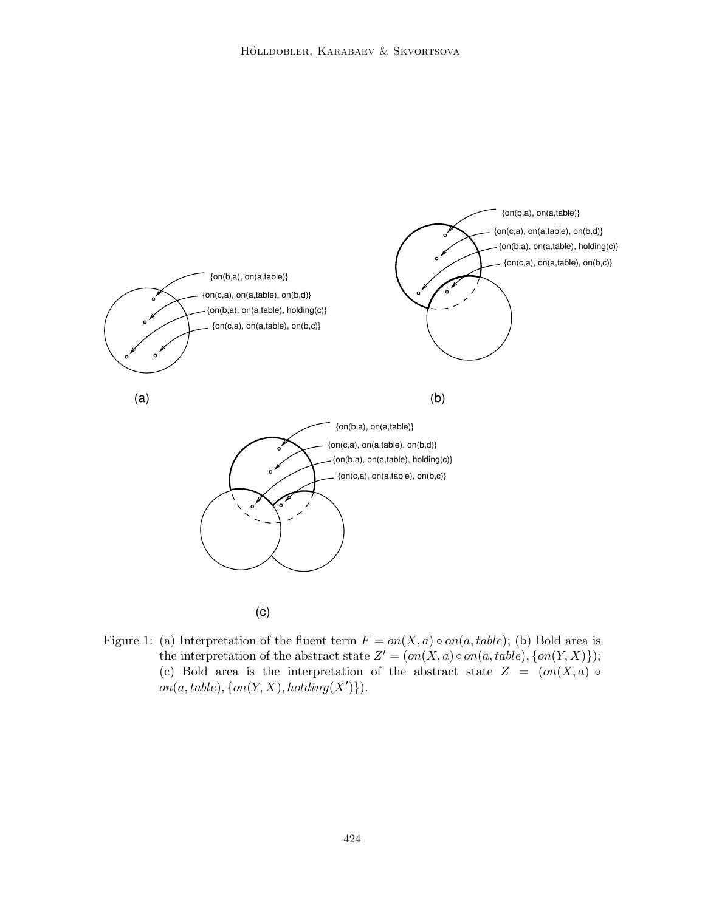

- (c)
- Figure 1: (a) Interpretation of the fluent term  $F = on(X, a) \circ on(a, table)$ ; (b) Bold area is the interpretation of the abstract state  $Z' = (on(X, a) \circ on(a, table), \{on(Y, X)\})$ ; (c) Bold area is the interpretation of the abstract state  $Z = (on(X, a) \circ$  $on(a, table), \{on(Y, X), holding(X')\}).$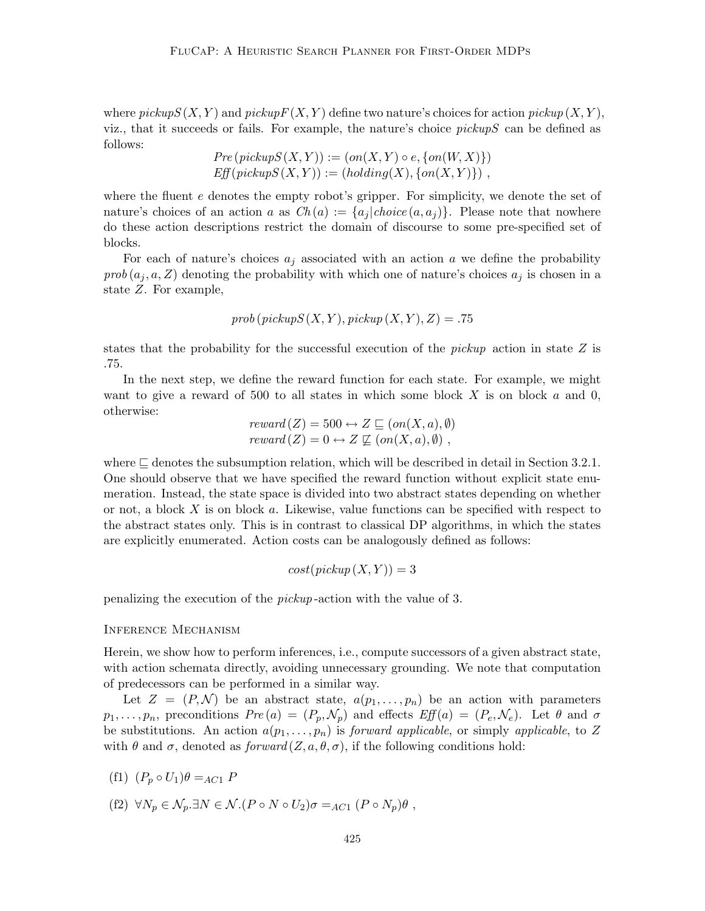where  $pickup S(X, Y)$  and  $pickup F(X, Y)$  define two nature's choices for action  $pickup (X, Y)$ , viz., that it succeeds or fails. For example, the nature's choice  $pickupS$  can be defined as follows:

$$
Pre(pickup S(X,Y)) := (on(X,Y) \circ e, \{on(W,X)\})
$$
  
Eff(pickup S(X,Y)) := (holding(X), {on(X,Y)}),

where the fluent  $e$  denotes the empty robot's gripper. For simplicity, we denote the set of nature's choices of an action a as  $Ch(a) := \{a_i | choice(a, a_i)\}\.$  Please note that nowhere do these action descriptions restrict the domain of discourse to some pre-specified set of blocks.

For each of nature's choices  $a_j$  associated with an action a we define the probability  $prob(a_i, a, Z)$  denoting the probability with which one of nature's choices  $a_i$  is chosen in a state Z. For example,

$$
prob(pickup S(X, Y), pickup (X, Y), Z) = .75
$$

states that the probability for the successful execution of the *pickup* action in state  $Z$  is .75.

In the next step, we define the reward function for each state. For example, we might want to give a reward of 500 to all states in which some block  $X$  is on block  $a$  and  $0$ , otherwise:

$$
reward(Z) = 500 \leftrightarrow Z \sqsubseteq (on(X, a), \emptyset)
$$
  

$$
reward(Z) = 0 \leftrightarrow Z \not\sqsubseteq (on(X, a), \emptyset),
$$

where  $\Box$  denotes the subsumption relation, which will be described in detail in Section 3.2.1. One should observe that we have specified the reward function without explicit state enumeration. Instead, the state space is divided into two abstract states depending on whether or not, a block X is on block a. Likewise, value functions can be specified with respect to the abstract states only. This is in contrast to classical DP algorithms, in which the states are explicitly enumerated. Action costs can be analogously defined as follows:

$$
cost(pickup(X, Y)) = 3
$$

penalizing the execution of the pickup -action with the value of 3.

#### Inference Mechanism

Herein, we show how to perform inferences, i.e., compute successors of a given abstract state, with action schemata directly, avoiding unnecessary grounding. We note that computation of predecessors can be performed in a similar way.

Let  $Z = (P, \mathcal{N})$  be an abstract state,  $a(p_1, \ldots, p_n)$  be an action with parameters  $p_1, \ldots, p_n$ , preconditions  $Pre(a) = (P_p, \mathcal{N}_p)$  and effects  $Eff(a) = (P_e, \mathcal{N}_e)$ . Let  $\theta$  and  $\sigma$ be substitutions. An action  $a(p_1, \ldots, p_n)$  is forward applicable, or simply applicable, to Z with  $\theta$  and  $\sigma$ , denoted as  $forward(Z, a, \theta, \sigma)$ , if the following conditions hold:

$$
(f1) (P_p \circ U_1)\theta =_{AC1} P
$$

(f2)  $\forall N_p \in \mathcal{N}_p$ . $\exists N \in \mathcal{N}$ .( $P \circ N \circ U_2$ ) $\sigma =_{AC_1} (P \circ N_p) \theta$ ,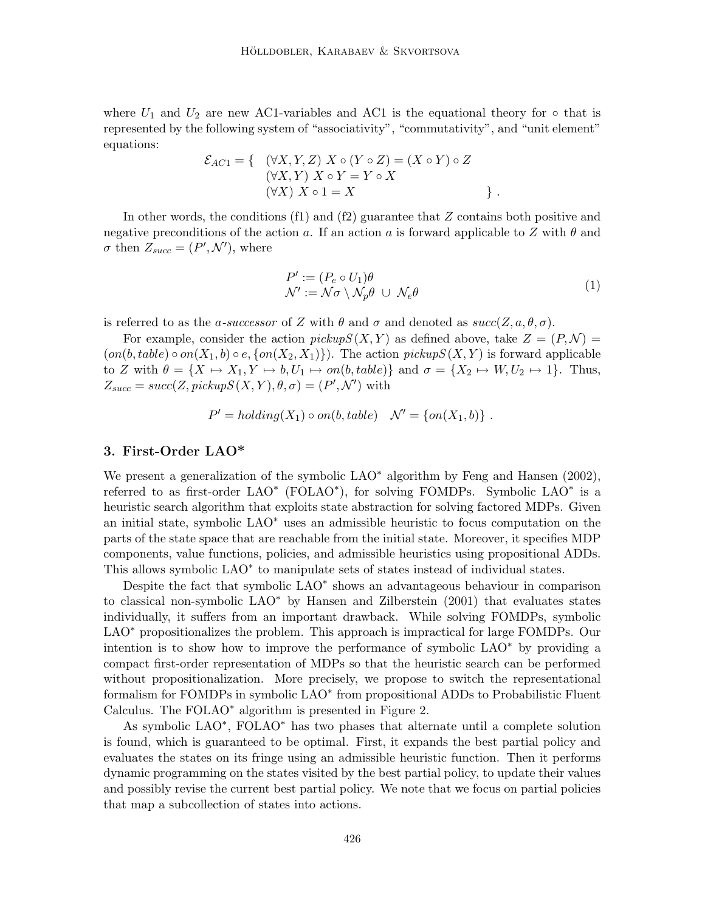where  $U_1$  and  $U_2$  are new AC1-variables and AC1 is the equational theory for  $\circ$  that is represented by the following system of "associativity", "commutativity", and "unit element" equations:

$$
\mathcal{E}_{AC1} = \left\{ \begin{array}{c} (\forall X, Y, Z) \ X \circ (Y \circ Z) = (X \circ Y) \circ Z \\ (\forall X, Y) \ X \circ Y = Y \circ X \\ (\forall X) \ X \circ 1 = X \end{array} \right\}.
$$

In other words, the conditions  $(f1)$  and  $(f2)$  guarantee that Z contains both positive and negative preconditions of the action a. If an action a is forward applicable to Z with  $\theta$  and  $\sigma$  then  $Z_{succ} = (P', \mathcal{N}')$ , where

$$
P' := (P_e \circ U_1)\theta
$$
  

$$
\mathcal{N}' := \mathcal{N}\sigma \setminus \mathcal{N}_p\theta \cup \mathcal{N}_e\theta
$$
 (1)

is referred to as the a-successor of Z with  $\theta$  and  $\sigma$  and denoted as  $succ(Z, a, \theta, \sigma)$ .

For example, consider the action  $pickup S(X, Y)$  as defined above, take  $Z = (P, \mathcal{N}) =$  $(on(b, table) \circ on(X_1, b) \circ e, \{on(X_2, X_1)\})$ . The action pickupS  $(X, Y)$  is forward applicable to Z with  $\theta = \{X \mapsto X_1, Y \mapsto b, U_1 \mapsto on(b, table)\}\$  and  $\sigma = \{X_2 \mapsto W, U_2 \mapsto 1\}$ . Thus,  $Z_{succ} = succ(Z, pickupS(X, Y), \theta, \sigma) = (P', \mathcal{N}')$  with

$$
P' = holding(X_1) \circ on(b, table) \quad \mathcal{N}' = \{on(X_1, b)\} \; .
$$

# 3. First-Order LAO\*

We present a generalization of the symbolic LAO<sup>∗</sup> algorithm by Feng and Hansen (2002), referred to as first-order LAO<sup>∗</sup> (FOLAO<sup>∗</sup>), for solving FOMDPs. Symbolic LAO<sup>∗</sup> is a heuristic search algorithm that exploits state abstraction for solving factored MDPs. Given an initial state, symbolic LAO<sup>∗</sup> uses an admissible heuristic to focus computation on the parts of the state space that are reachable from the initial state. Moreover, it specifies MDP components, value functions, policies, and admissible heuristics using propositional ADDs. This allows symbolic LAO<sup>∗</sup> to manipulate sets of states instead of individual states.

Despite the fact that symbolic LAO<sup>\*</sup> shows an advantageous behaviour in comparison to classical non-symbolic LAO<sup>∗</sup> by Hansen and Zilberstein (2001) that evaluates states individually, it suffers from an important drawback. While solving FOMDPs, symbolic LAO<sup>\*</sup> propositionalizes the problem. This approach is impractical for large FOMDPs. Our intention is to show how to improve the performance of symbolic LAO<sup>∗</sup> by providing a compact first-order representation of MDPs so that the heuristic search can be performed without propositionalization. More precisely, we propose to switch the representational formalism for FOMDPs in symbolic LAO<sup>\*</sup> from propositional ADDs to Probabilistic Fluent Calculus. The FOLAO<sup>∗</sup> algorithm is presented in Figure 2.

As symbolic LAO<sup>∗</sup> , FOLAO<sup>∗</sup> has two phases that alternate until a complete solution is found, which is guaranteed to be optimal. First, it expands the best partial policy and evaluates the states on its fringe using an admissible heuristic function. Then it performs dynamic programming on the states visited by the best partial policy, to update their values and possibly revise the current best partial policy. We note that we focus on partial policies that map a subcollection of states into actions.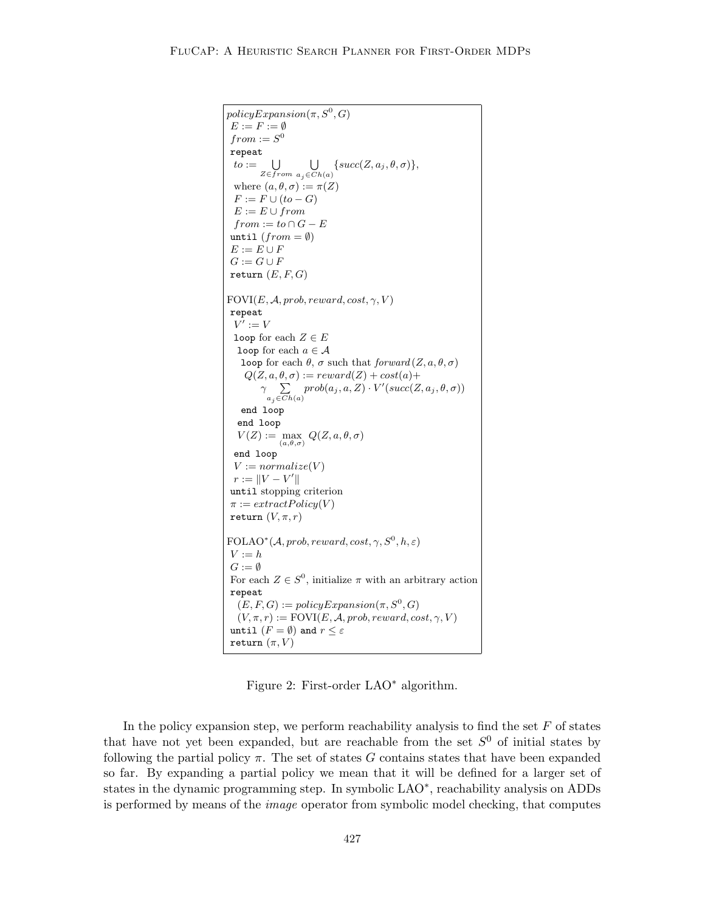```
policyExpansion(\pi, S^0, G)E := F := \emptysetfrom := S^0repeat
  to := \bigcup_{Z \in from \ a_i \in Cl}a_j \in Ch(a)\{succ(Z, a_j, \theta, \sigma)\},\where (a, \theta, \sigma) := \pi(Z)F := F \cup (to - G)E := E \cup fromfrom := to \cap G - Euntil (from = \emptyset)E := E \cup FG := G \cup Freturn (E, F, G)FOVI(E, \mathcal{A}, prob, reward, cost, \gamma, V)repeat
  V' := Vloop for each Z \in Eloop for each a \in \mathcal{A}loop for each θ, σ such that forward(Z, a, θ, σ)Q(Z, a, \theta, \sigma) := reward(Z) + cost(a) +γ
P
           a_j \in Ch(a)prob(a_j, a, Z) \cdot V'(succ(Z, a_j, \theta, \sigma))end loop
  end loop
   V(Z) := \max Q(Z, a, \theta, \sigma)(a, \theta, \sigma)end loop
 V := normalize(V)r := ||V - V'||until stopping criterion
\pi := extractPolicy(V)return (V, \pi, r)\text{FOLAO}^*(\mathcal{A}, \text{prob}, \text{reward}, \text{cost}, \gamma, S^0, h, \varepsilon)V := hG := \emptysetFor each Z \in S^0, initialize \pi with an arbitrary action
repeat
   (E, F, G) := policyExpansion(\pi, S^0, G)(V, \pi, r) := \text{FOVI}(E, \mathcal{A}, \text{prob}, \text{reward}, \text{cost}, \gamma, V)until (F = \emptyset) and r \leq \varepsilonreturn (\pi, V)
```
Figure 2: First-order LAO<sup>∗</sup> algorithm.

In the policy expansion step, we perform reachability analysis to find the set  $F$  of states that have not yet been expanded, but are reachable from the set  $S^0$  of initial states by following the partial policy  $\pi$ . The set of states G contains states that have been expanded so far. By expanding a partial policy we mean that it will be defined for a larger set of states in the dynamic programming step. In symbolic LAO<sup>\*</sup>, reachability analysis on ADDs is performed by means of the image operator from symbolic model checking, that computes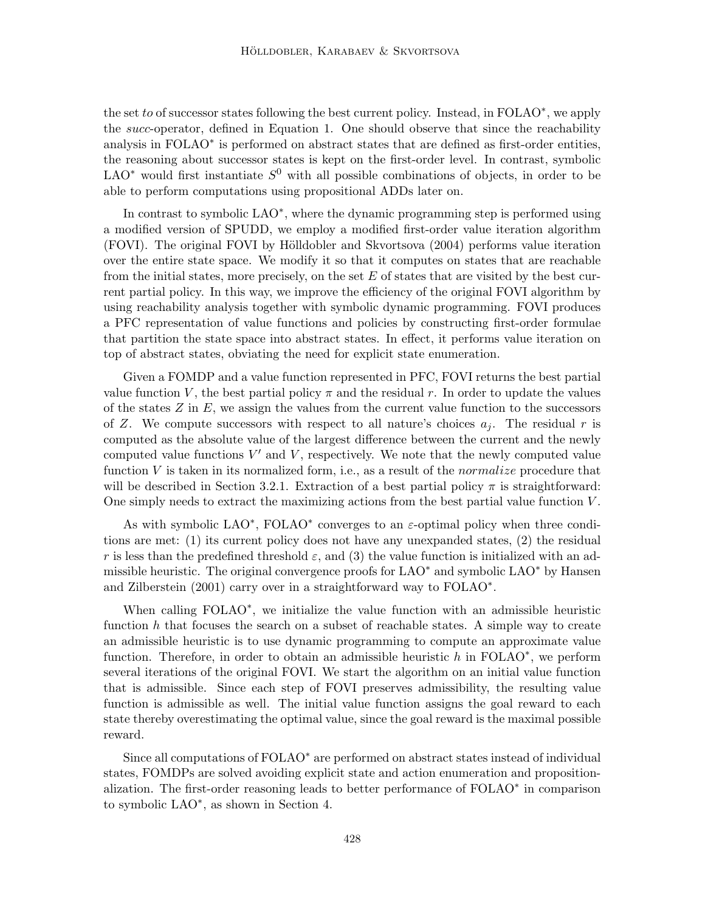the set to of successor states following the best current policy. Instead, in FOLAO<sup>∗</sup>, we apply the *succ*-operator, defined in Equation 1. One should observe that since the reachability analysis in FOLAO<sup>\*</sup> is performed on abstract states that are defined as first-order entities, the reasoning about successor states is kept on the first-order level. In contrast, symbolic LAO<sup>\*</sup> would first instantiate  $S^0$  with all possible combinations of objects, in order to be able to perform computations using propositional ADDs later on.

In contrast to symbolic LAO<sup>\*</sup>, where the dynamic programming step is performed using a modified version of SPUDD, we employ a modified first-order value iteration algorithm (FOVI). The original FOVI by Hölldobler and Skvortsova (2004) performs value iteration over the entire state space. We modify it so that it computes on states that are reachable from the initial states, more precisely, on the set  $E$  of states that are visited by the best current partial policy. In this way, we improve the efficiency of the original FOVI algorithm by using reachability analysis together with symbolic dynamic programming. FOVI produces a PFC representation of value functions and policies by constructing first-order formulae that partition the state space into abstract states. In effect, it performs value iteration on top of abstract states, obviating the need for explicit state enumeration.

Given a FOMDP and a value function represented in PFC, FOVI returns the best partial value function V, the best partial policy  $\pi$  and the residual r. In order to update the values of the states  $Z$  in  $E$ , we assign the values from the current value function to the successors of Z. We compute successors with respect to all nature's choices  $a_i$ . The residual r is computed as the absolute value of the largest difference between the current and the newly computed value functions  $V'$  and  $V$ , respectively. We note that the newly computed value function  $V$  is taken in its normalized form, i.e., as a result of the *normalize* procedure that will be described in Section 3.2.1. Extraction of a best partial policy  $\pi$  is straightforward: One simply needs to extract the maximizing actions from the best partial value function  $V$ .

As with symbolic LAO<sup>\*</sup>, FOLAO<sup>\*</sup> converges to an  $\varepsilon$ -optimal policy when three conditions are met: (1) its current policy does not have any unexpanded states, (2) the residual r is less than the predefined threshold  $\varepsilon$ , and (3) the value function is initialized with an admissible heuristic. The original convergence proofs for  $\text{LAO}^*$  and symbolic  $\text{LAO}^*$  by Hansen and Zilberstein (2001) carry over in a straightforward way to FOLAO<sup>\*</sup>.

When calling FOLAO<sup>\*</sup>, we initialize the value function with an admissible heuristic function h that focuses the search on a subset of reachable states. A simple way to create an admissible heuristic is to use dynamic programming to compute an approximate value function. Therefore, in order to obtain an admissible heuristic  $h$  in FOLAO<sup>\*</sup>, we perform several iterations of the original FOVI. We start the algorithm on an initial value function that is admissible. Since each step of FOVI preserves admissibility, the resulting value function is admissible as well. The initial value function assigns the goal reward to each state thereby overestimating the optimal value, since the goal reward is the maximal possible reward.

Since all computations of FOLAO<sup>\*</sup> are performed on abstract states instead of individual states, FOMDPs are solved avoiding explicit state and action enumeration and propositionalization. The first-order reasoning leads to better performance of FOLAO<sup>\*</sup> in comparison to symbolic LAO<sup>∗</sup> , as shown in Section 4.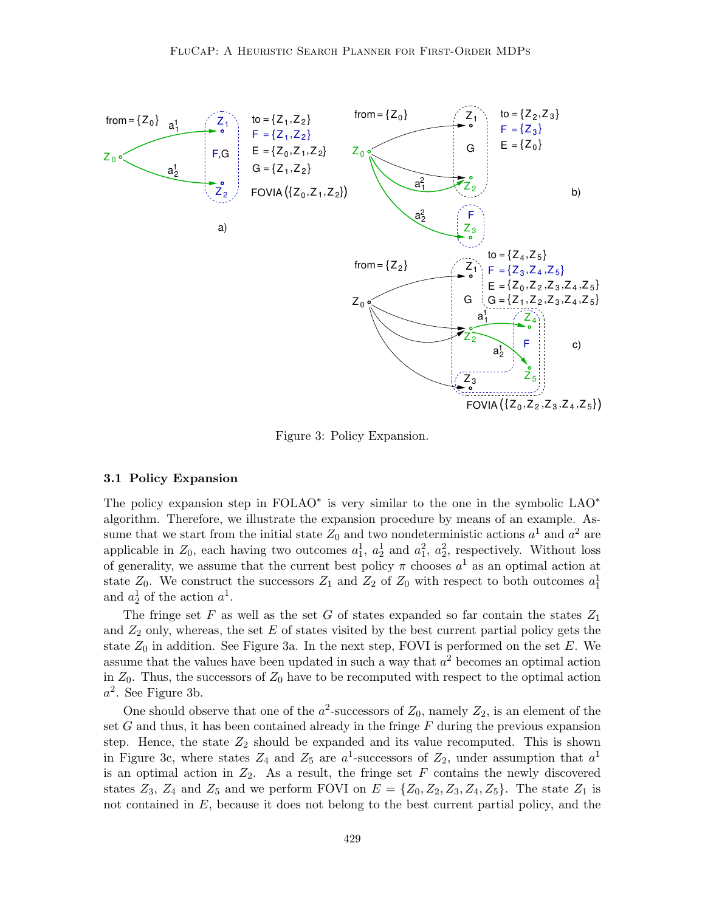

Figure 3: Policy Expansion.

#### 3.1 Policy Expansion

The policy expansion step in FOLAO<sup>\*</sup> is very similar to the one in the symbolic LAO<sup>\*</sup> algorithm. Therefore, we illustrate the expansion procedure by means of an example. Assume that we start from the initial state  $Z_0$  and two nondeterministic actions  $a^1$  and  $a^2$  are applicable in  $Z_0$ , each having two outcomes  $a_1^1$ ,  $a_2^1$  and  $a_1^2$ ,  $a_2^2$ , respectively. Without loss of generality, we assume that the current best policy  $\pi$  chooses  $a^1$  as an optimal action at state  $Z_0$ . We construct the successors  $Z_1$  and  $Z_2$  of  $Z_0$  with respect to both outcomes  $a_1^1$ and  $a_2^1$  of the action  $a_1^1$ .

The fringe set F as well as the set G of states expanded so far contain the states  $Z_1$ and  $Z_2$  only, whereas, the set E of states visited by the best current partial policy gets the state  $Z_0$  in addition. See Figure 3a. In the next step, FOVI is performed on the set  $E$ . We assume that the values have been updated in such a way that  $a<sup>2</sup>$  becomes an optimal action in  $Z_0$ . Thus, the successors of  $Z_0$  have to be recomputed with respect to the optimal action  $a^2$ . See Figure 3b.

One should observe that one of the  $a^2$ -successors of  $Z_0$ , namely  $Z_2$ , is an element of the set  $G$  and thus, it has been contained already in the fringe  $F$  during the previous expansion step. Hence, the state  $Z_2$  should be expanded and its value recomputed. This is shown in Figure 3c, where states  $Z_4$  and  $Z_5$  are  $a^1$ -successors of  $Z_2$ , under assumption that  $a^1$ is an optimal action in  $Z_2$ . As a result, the fringe set  $F$  contains the newly discovered states  $Z_3$ ,  $Z_4$  and  $Z_5$  and we perform FOVI on  $E = \{Z_0, Z_2, Z_3, Z_4, Z_5\}$ . The state  $Z_1$  is not contained in  $E$ , because it does not belong to the best current partial policy, and the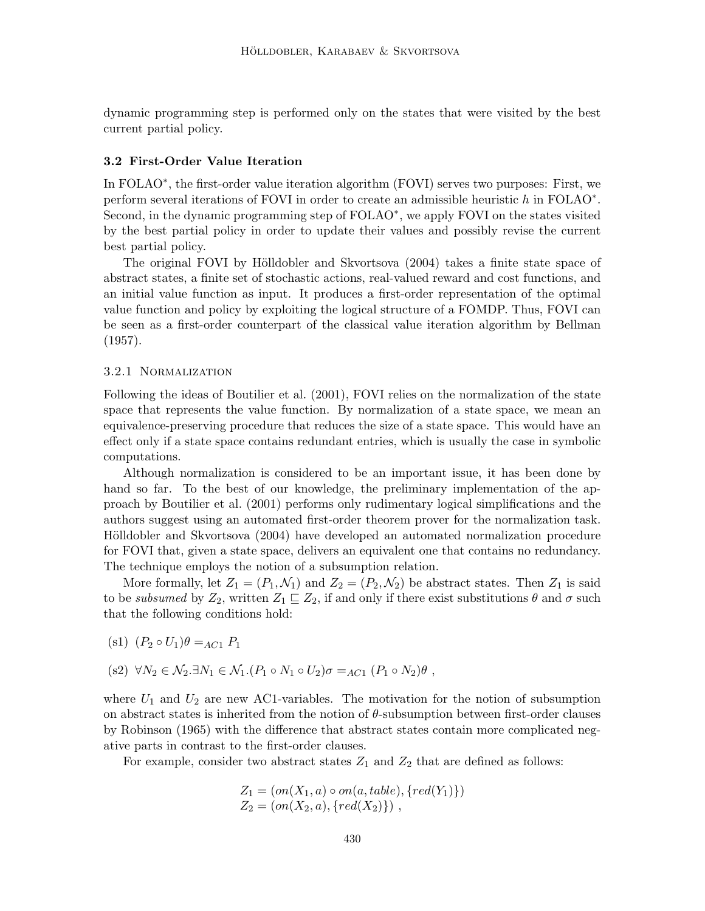dynamic programming step is performed only on the states that were visited by the best current partial policy.

### 3.2 First-Order Value Iteration

In FOLAO<sup>\*</sup>, the first-order value iteration algorithm (FOVI) serves two purposes: First, we perform several iterations of FOVI in order to create an admissible heuristic h in FOLAO<sup>\*</sup>. Second, in the dynamic programming step of  $FOLAO^*$ , we apply FOVI on the states visited by the best partial policy in order to update their values and possibly revise the current best partial policy.

The original FOVI by Hölldobler and Skvortsova (2004) takes a finite state space of abstract states, a finite set of stochastic actions, real-valued reward and cost functions, and an initial value function as input. It produces a first-order representation of the optimal value function and policy by exploiting the logical structure of a FOMDP. Thus, FOVI can be seen as a first-order counterpart of the classical value iteration algorithm by Bellman (1957).

#### 3.2.1 Normalization

Following the ideas of Boutilier et al. (2001), FOVI relies on the normalization of the state space that represents the value function. By normalization of a state space, we mean an equivalence-preserving procedure that reduces the size of a state space. This would have an effect only if a state space contains redundant entries, which is usually the case in symbolic computations.

Although normalization is considered to be an important issue, it has been done by hand so far. To the best of our knowledge, the preliminary implementation of the approach by Boutilier et al. (2001) performs only rudimentary logical simplifications and the authors suggest using an automated first-order theorem prover for the normalization task. Hölldobler and Skvortsova (2004) have developed an automated normalization procedure for FOVI that, given a state space, delivers an equivalent one that contains no redundancy. The technique employs the notion of a subsumption relation.

More formally, let  $Z_1 = (P_1, \mathcal{N}_1)$  and  $Z_2 = (P_2, \mathcal{N}_2)$  be abstract states. Then  $Z_1$  is said to be subsumed by  $Z_2$ , written  $Z_1 \sqsubseteq Z_2$ , if and only if there exist substitutions  $\theta$  and  $\sigma$  such that the following conditions hold:

- (s1)  $(P_2 \circ U_1)\theta =_{AC1} P_1$
- (s2)  $\forall N_2 \in \mathcal{N}_2 \exists N_1 \in \mathcal{N}_1.(P_1 \circ N_1 \circ U_2)\sigma =_{AC_1} (P_1 \circ N_2)\theta$ ,

where  $U_1$  and  $U_2$  are new AC1-variables. The motivation for the notion of subsumption on abstract states is inherited from the notion of  $\theta$ -subsumption between first-order clauses by Robinson (1965) with the difference that abstract states contain more complicated negative parts in contrast to the first-order clauses.

For example, consider two abstract states  $Z_1$  and  $Z_2$  that are defined as follows:

$$
Z_1 = (on(X_1, a) \circ on(a, table), \{red(Y_1)\})
$$
  
\n
$$
Z_2 = (on(X_2, a), \{red(X_2)\})
$$
,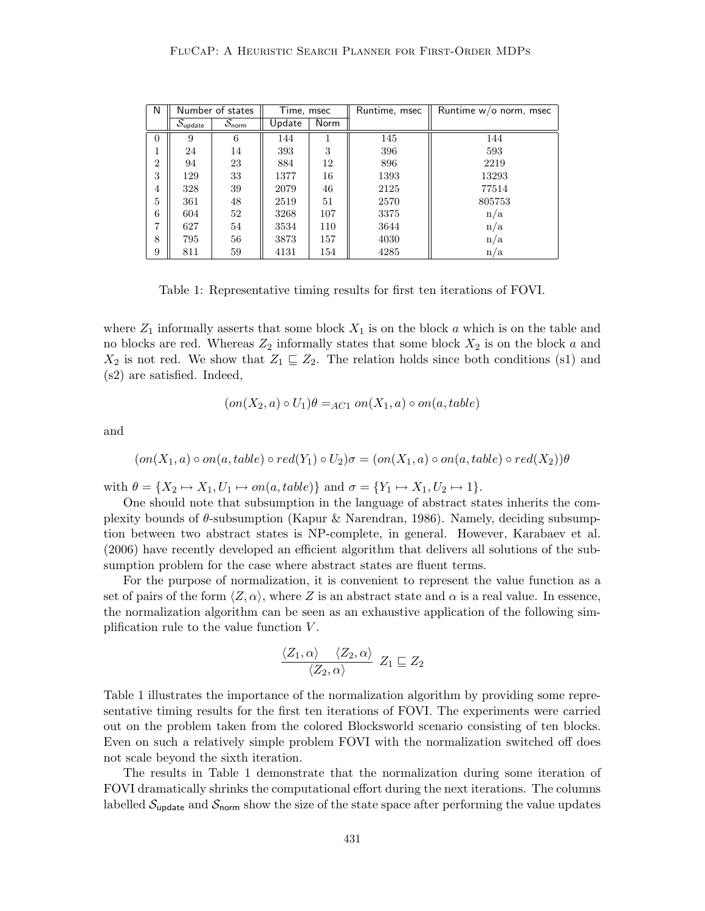| N              |                                       | Number of states              | Time, msec |      | Runtime, msec | Runtime $w/o$ norm, msec |
|----------------|---------------------------------------|-------------------------------|------------|------|---------------|--------------------------|
|                | $\bar{\mathcal{S}}_{\mathsf{update}}$ | $\mathcal{S}_{\mathsf{norm}}$ | Update     | Norm |               |                          |
| $\theta$       | 9                                     | 6                             | 144        |      | 145           | 144                      |
| 1              | 24                                    | 14                            | 393        | 3    | 396           | 593                      |
| $\overline{2}$ | 94                                    | 23                            | 884        | 12   | 896           | 2219                     |
| 3              | 129                                   | 33                            | 1377       | 16   | 1393          | 13293                    |
| 4              | 328                                   | 39                            | 2079       | 46   | 2125          | 77514                    |
| 5              | 361                                   | 48                            | 2519       | 51   | 2570          | 805753                   |
| 6              | 604                                   | 52                            | 3268       | 107  | 3375          | n/a                      |
| 7              | 627                                   | 54                            | 3534       | 110  | 3644          | n/a                      |
| 8              | 795                                   | 56                            | 3873       | 157  | 4030          | n/a                      |
| 9              | 811                                   | 59                            | 4131       | 154  | 4285          | n/a                      |

Table 1: Representative timing results for first ten iterations of FOVI.

where  $Z_1$  informally asserts that some block  $X_1$  is on the block a which is on the table and no blocks are red. Whereas  $Z_2$  informally states that some block  $X_2$  is on the block a and  $X_2$  is not red. We show that  $Z_1 \subseteq Z_2$ . The relation holds since both conditions (s1) and (s2) are satisfied. Indeed,

$$
(on(X2, a) \circ U1)\theta =_{AC1} on(X1, a) \circ on(a, table)
$$

and

$$
(on(X_1, a) \circ on(a, table) \circ red(Y_1) \circ U_2)\sigma = (on(X_1, a) \circ on(a, table) \circ red(X_2))\theta
$$

with  $\theta = \{X_2 \mapsto X_1, U_1 \mapsto on(a, table)\}\$ and  $\sigma = \{Y_1 \mapsto X_1, U_2 \mapsto 1\}.$ 

One should note that subsumption in the language of abstract states inherits the complexity bounds of  $\theta$ -subsumption (Kapur & Narendran, 1986). Namely, deciding subsumption between two abstract states is NP-complete, in general. However, Karabaev et al. (2006) have recently developed an efficient algorithm that delivers all solutions of the subsumption problem for the case where abstract states are fluent terms.

For the purpose of normalization, it is convenient to represent the value function as a set of pairs of the form  $\langle Z, \alpha \rangle$ , where Z is an abstract state and  $\alpha$  is a real value. In essence, the normalization algorithm can be seen as an exhaustive application of the following simplification rule to the value function  $V$ .

$$
\frac{\langle Z_1, \alpha \rangle \quad \langle Z_2, \alpha \rangle}{\langle Z_2, \alpha \rangle} \ Z_1 \sqsubseteq Z_2
$$

Table 1 illustrates the importance of the normalization algorithm by providing some representative timing results for the first ten iterations of FOVI. The experiments were carried out on the problem taken from the colored Blocksworld scenario consisting of ten blocks. Even on such a relatively simple problem FOVI with the normalization switched off does not scale beyond the sixth iteration.

The results in Table 1 demonstrate that the normalization during some iteration of FOVI dramatically shrinks the computational effort during the next iterations. The columns labelled  $S_{\text{update}}$  and  $S_{\text{norm}}$  show the size of the state space after performing the value updates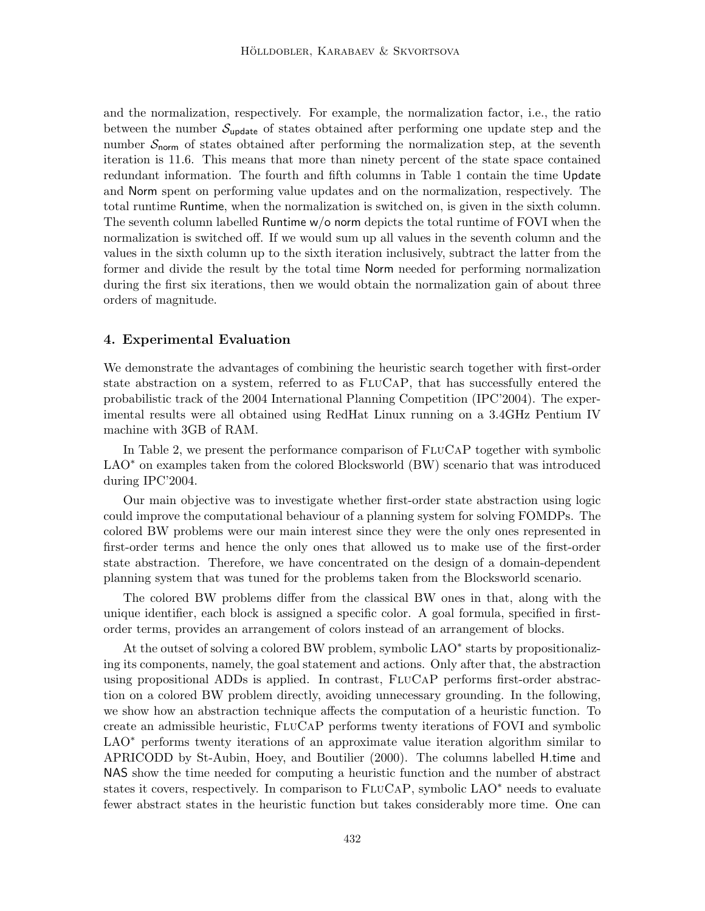and the normalization, respectively. For example, the normalization factor, i.e., the ratio between the number  $S_{update}$  of states obtained after performing one update step and the number  $S_{\text{norm}}$  of states obtained after performing the normalization step, at the seventh iteration is 11.6. This means that more than ninety percent of the state space contained redundant information. The fourth and fifth columns in Table 1 contain the time Update and Norm spent on performing value updates and on the normalization, respectively. The total runtime Runtime, when the normalization is switched on, is given in the sixth column. The seventh column labelled Runtime w/o norm depicts the total runtime of FOVI when the normalization is switched off. If we would sum up all values in the seventh column and the values in the sixth column up to the sixth iteration inclusively, subtract the latter from the former and divide the result by the total time Norm needed for performing normalization during the first six iterations, then we would obtain the normalization gain of about three orders of magnitude.

### 4. Experimental Evaluation

We demonstrate the advantages of combining the heuristic search together with first-order state abstraction on a system, referred to as FluCaP, that has successfully entered the probabilistic track of the 2004 International Planning Competition (IPC'2004). The experimental results were all obtained using RedHat Linux running on a 3.4GHz Pentium IV machine with 3GB of RAM.

In Table 2, we present the performance comparison of  $FLUCAP$  together with symbolic LAO<sup>\*</sup> on examples taken from the colored Blocksworld (BW) scenario that was introduced during IPC'2004.

Our main objective was to investigate whether first-order state abstraction using logic could improve the computational behaviour of a planning system for solving FOMDPs. The colored BW problems were our main interest since they were the only ones represented in first-order terms and hence the only ones that allowed us to make use of the first-order state abstraction. Therefore, we have concentrated on the design of a domain-dependent planning system that was tuned for the problems taken from the Blocksworld scenario.

The colored BW problems differ from the classical BW ones in that, along with the unique identifier, each block is assigned a specific color. A goal formula, specified in firstorder terms, provides an arrangement of colors instead of an arrangement of blocks.

At the outset of solving a colored BW problem, symbolic LAO<sup>\*</sup> starts by propositionalizing its components, namely, the goal statement and actions. Only after that, the abstraction using propositional ADDs is applied. In contrast, FLUCAP performs first-order abstraction on a colored BW problem directly, avoiding unnecessary grounding. In the following, we show how an abstraction technique affects the computation of a heuristic function. To create an admissible heuristic, FluCaP performs twenty iterations of FOVI and symbolic LAO<sup>\*</sup> performs twenty iterations of an approximate value iteration algorithm similar to APRICODD by St-Aubin, Hoey, and Boutilier (2000). The columns labelled H.time and NAS show the time needed for computing a heuristic function and the number of abstract states it covers, respectively. In comparison to  $FLUCAP$ , symbolic  $LAO<sup>*</sup>$  needs to evaluate fewer abstract states in the heuristic function but takes considerably more time. One can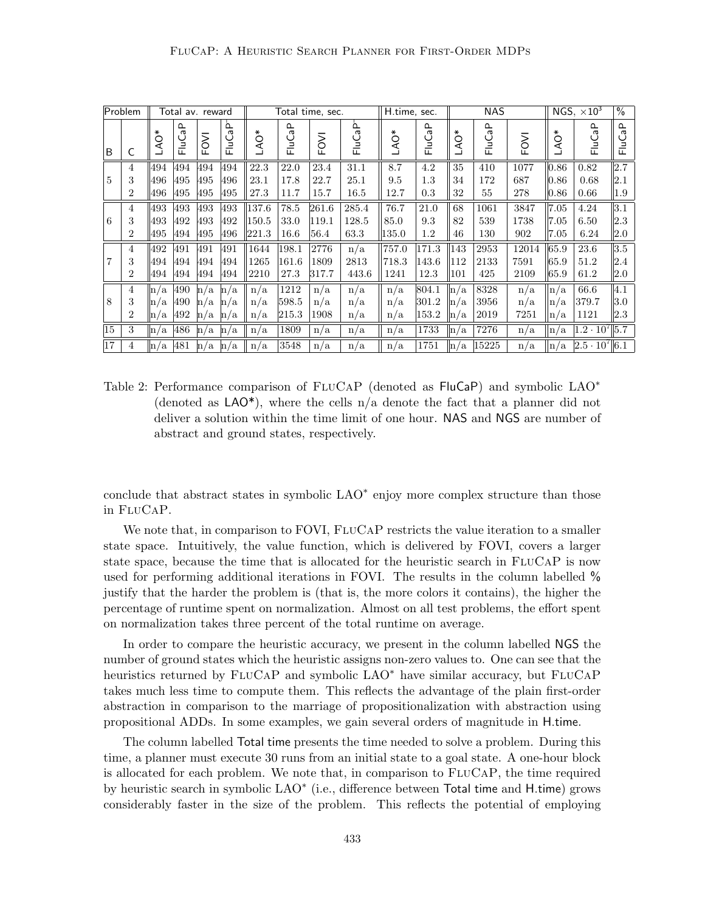| Problem        |                     | Total av. reward |                   |                            | Total time, sec.   |                |                | H.time, sec.  |               | <b>NAS</b>        |                |                |              | NGS, $\times 10^3$ |                   |                        |                  |
|----------------|---------------------|------------------|-------------------|----------------------------|--------------------|----------------|----------------|---------------|---------------|-------------------|----------------|----------------|--------------|--------------------|-------------------|------------------------|------------------|
| ΙB             | C                   | ÅO*              | ≏<br>وں<br>ت<br>匸 | FOVI                       | ۾<br>ن<br>=<br>⊏   | LAO*           | FluCaP         | FOVI          | FluCaP        | $\circ$<br>∢      | FluCaP         | LAO*           | FluCaP       | FOVI               | LAO*              | FluCaP                 | FluCaP           |
| 5              | 4<br>3              | 494<br>496       | 494<br>495        | 494<br>495                 | 494<br>496         | 22.3<br>23.1   | 22.0<br>17.8   | 23.4<br>22.7  | 31.1<br>25.1  | 8.7<br>9.5        | 4.2<br>1.3     | 35<br>34       | 410<br>172   | 1077<br>687        | 0.86<br>0.86      | 0.82<br>0.68           | 2.7 <br>2.1      |
|                | $\overline{2}$      | 496              | 495               | 495                        | 495                | 27.3           | 11.7           | 15.7          | 16.5          | 12.7              | 0.3            | 32             | 55           | 278                | 0.86              | 0.66                   | 1.9              |
|                | 4                   | 493              | 493               | 493                        | 493                | 137.6          | 78.5           | 261.6         | 285.4         | 76.7              | 21.0           | 68             | $1061\,$     | 3847               | 7.05              | 4.24                   | 3.1              |
| 6              | 3<br>$\overline{2}$ | 493<br>495       | 492<br>494        | 493<br>495                 | 492<br>496         | 150.5<br>221.3 | 33.0<br>16.6   | 119.1<br>56.4 | 128.5<br>63.3 | 85.0<br>$135.0\,$ | 9.3<br>1.2     | 82<br>46       | 539<br>130   | 1738<br>902        | 7.05<br>7.05      | 6.50<br>6.24           | 2.3<br> 2.0      |
|                | 4                   | 492              | 491               | 491                        | 491                | 1644           | 198.1          | 2776          | n/a           | 757.0             | 171.3          | 143            | 2953         | 12014              | 65.9              | 23.6                   | $\overline{3.5}$ |
| $\overline{7}$ | 3<br>$\overline{2}$ | 494<br>494       | 494<br>494        | 494<br>494                 | 494<br>494         | 1265<br>2210   | 161.6<br>27.3  | 1809<br>317.7 | 2813<br>443.6 | 718.3<br>1241     | 143.6<br>12.3  | 112<br>101     | 2133<br>425  | 7591<br>2109       | 65.9<br>65.9      | 51.2<br>61.2           | 2.4<br> 2.0      |
|                | 4                   | in/a             | 490               | n/a                        | $\ln/a$            | n/a            | 1212           | n/a           | n/a           | n/a               | 804.1          | n/a            | 8328         | n/a                | $\ln/a$           | 66.6                   | $ 4.1\rangle$    |
| 8              | 3<br>$\overline{2}$ | n/a<br>n/a       | 490<br>492        | 'a<br>$\ln$<br>'a<br>$\ln$ | $\ln/a$<br>$\ln/a$ | n/a<br>n/a     | 598.5<br>215.3 | n/a<br>1908   | n/a<br>n/a    | n/a<br>n/a        | 301.2<br>153.2 | n/a<br>$\ln/a$ | 3956<br>2019 | n/a<br>7251        | n/a<br>$\ln/a$    | 379.7<br>1121          | 3.0<br> 2.3      |
| $ 15\rangle$   | 3                   | $\ln/a$          | 486               | $\ln/a$                    | $\ln/a$            | n/a            | 1809           | n/a           | n/a           | n/a               | 1733           | $\ln/a$        | 7276         | n/a                | $\vert n/a \vert$ | $ 1.2 \cdot 10^7 $ 5.7 |                  |
| 17             | 4                   | n/a              | 481               | $\ln/a$                    | $\ln/a$            | n/a            | 3548           | n/a           | n/a           | n/a               | 1751           | $\ln/a$        | 15225        | n/a                | $\ln/a$           | $ 2.5 \cdot 10^7 $ 6.1 |                  |

Table 2: Performance comparison of FLUCAP (denoted as FluCaP) and symbolic LAO<sup>\*</sup> (denoted as  $\text{LAO*}$ ), where the cells  $n/a$  denote the fact that a planner did not deliver a solution within the time limit of one hour. NAS and NGS are number of abstract and ground states, respectively.

conclude that abstract states in symbolic LAO<sup>∗</sup> enjoy more complex structure than those in FluCaP.

We note that, in comparison to FOVI, FLUCAP restricts the value iteration to a smaller state space. Intuitively, the value function, which is delivered by FOVI, covers a larger state space, because the time that is allocated for the heuristic search in FluCaP is now used for performing additional iterations in FOVI. The results in the column labelled % justify that the harder the problem is (that is, the more colors it contains), the higher the percentage of runtime spent on normalization. Almost on all test problems, the effort spent on normalization takes three percent of the total runtime on average.

In order to compare the heuristic accuracy, we present in the column labelled NGS the number of ground states which the heuristic assigns non-zero values to. One can see that the heuristics returned by FLUCAP and symbolic LAO<sup>∗</sup> have similar accuracy, but FLUCAP takes much less time to compute them. This reflects the advantage of the plain first-order abstraction in comparison to the marriage of propositionalization with abstraction using propositional ADDs. In some examples, we gain several orders of magnitude in H.time.

The column labelled Total time presents the time needed to solve a problem. During this time, a planner must execute 30 runs from an initial state to a goal state. A one-hour block is allocated for each problem. We note that, in comparison to  $FLUCAP$ , the time required by heuristic search in symbolic LAO<sup>\*</sup> (i.e., difference between Total time and H.time) grows considerably faster in the size of the problem. This reflects the potential of employing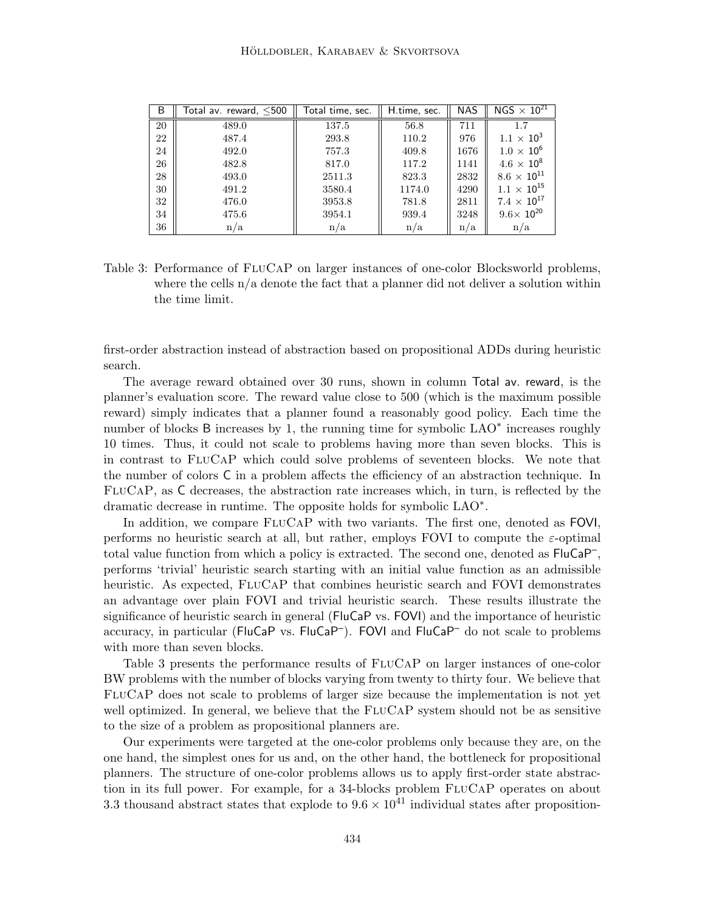| B  | Total av. reward, $<$ 500 | Total time, sec. | H.time, sec. | <b>NAS</b> | $NGS \times 10^{21}$ |
|----|---------------------------|------------------|--------------|------------|----------------------|
| 20 | 489.0                     | 137.5            | 56.8         | 711        | 1.7                  |
| 22 | 487.4                     | 293.8            | 110.2        | 976        | $1.1 \times 10^{3}$  |
| 24 | 492.0                     | 757.3            | 409.8        | 1676       | $1.0 \times 10^{6}$  |
| 26 | 482.8                     | 817.0            | 117.2        | 1141       | $4.6 \times 10^8$    |
| 28 | 493.0                     | 2511.3           | 823.3        | 2832       | $8.6 \times 10^{11}$ |
| 30 | 491.2                     | 3580.4           | 1174.0       | 4290       | $1.1\times10^{15}$   |
| 32 | 476.0                     | 3953.8           | 781.8        | 2811       | $7.4 \times 10^{17}$ |
| 34 | 475.6                     | 3954.1           | 939.4        | 3248       | $9.6\times 10^{20}$  |
| 36 | n/a                       | n/a              | n/a          | n/a        | n/a                  |

Table 3: Performance of FLUCAP on larger instances of one-color Blocksworld problems, where the cells  $n/a$  denote the fact that a planner did not deliver a solution within the time limit.

first-order abstraction instead of abstraction based on propositional ADDs during heuristic search.

The average reward obtained over 30 runs, shown in column Total av. reward, is the planner's evaluation score. The reward value close to 500 (which is the maximum possible reward) simply indicates that a planner found a reasonably good policy. Each time the number of blocks B increases by 1, the running time for symbolic LAO<sup>\*</sup> increases roughly 10 times. Thus, it could not scale to problems having more than seven blocks. This is in contrast to FluCaP which could solve problems of seventeen blocks. We note that the number of colors C in a problem affects the efficiency of an abstraction technique. In FluCaP, as C decreases, the abstraction rate increases which, in turn, is reflected by the dramatic decrease in runtime. The opposite holds for symbolic LAO<sup>∗</sup> .

In addition, we compare  $FLUCAP$  with two variants. The first one, denoted as FOVI, performs no heuristic search at all, but rather, employs FOVI to compute the  $\varepsilon$ -optimal total value function from which a policy is extracted. The second one, denoted as  $FluCaP^-,$ performs 'trivial' heuristic search starting with an initial value function as an admissible heuristic. As expected, FLUCAP that combines heuristic search and FOVI demonstrates an advantage over plain FOVI and trivial heuristic search. These results illustrate the significance of heuristic search in general (FluCaP vs. FOVI) and the importance of heuristic accuracy, in particular (FluCaP vs. FluCaP<sup>-</sup>). FOVI and FluCaP<sup>-</sup> do not scale to problems with more than seven blocks.

Table 3 presents the performance results of  $FLuCAP$  on larger instances of one-color BW problems with the number of blocks varying from twenty to thirty four. We believe that FluCaP does not scale to problems of larger size because the implementation is not yet well optimized. In general, we believe that the FLUCAP system should not be as sensitive to the size of a problem as propositional planners are.

Our experiments were targeted at the one-color problems only because they are, on the one hand, the simplest ones for us and, on the other hand, the bottleneck for propositional planners. The structure of one-color problems allows us to apply first-order state abstraction in its full power. For example, for a 34-blocks problem FLUCAP operates on about 3.3 thousand abstract states that explode to  $9.6 \times 10^{41}$  individual states after proposition-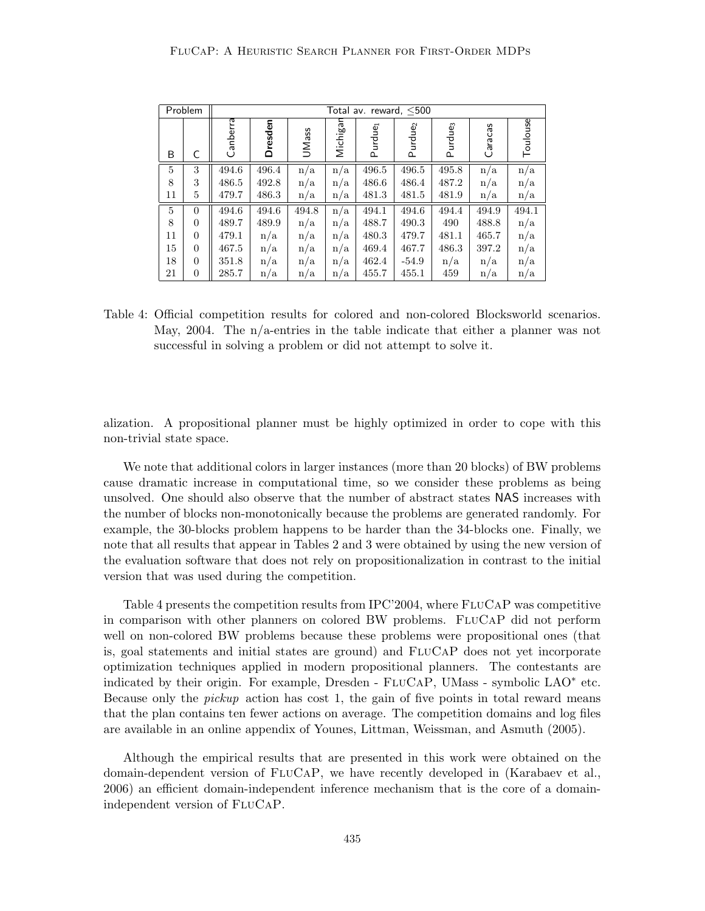| Problem |                | Total av. reward, $<$ 500 |         |       |          |                     |                     |                     |         |          |  |  |  |
|---------|----------------|---------------------------|---------|-------|----------|---------------------|---------------------|---------------------|---------|----------|--|--|--|
| B       | C              | Canberra                  | Dresden | UMass | Michigan | Purdue <sub>1</sub> | Purdue <sub>2</sub> | Purdue <sub>3</sub> | Caracas | Toulouse |  |  |  |
| 5       | 3              | 494.6                     | 496.4   | n/a   | n/a      | 496.5               | 496.5               | 495.8               | n/a     | n/a      |  |  |  |
| 8       | 3              | 486.5                     | 492.8   | n/a   | n/a      | 486.6               | 486.4               | 487.2               | n/a     | n/a      |  |  |  |
| 11      | 5              | 479.7                     | 486.3   | n/a   | n/a      | 481.3               | 481.5               | 481.9               | n/a     | n/a      |  |  |  |
| 5       | $\overline{0}$ | 494.6                     | 494.6   | 494.8 | n/a      | 494.1               | 494.6               | 494.4               | 494.9   | 494.1    |  |  |  |
| 8       | $\overline{0}$ | 489.7                     | 489.9   | n/a   | n/a      | 488.7               | 490.3               | 490                 | 488.8   | n/a      |  |  |  |
| 11      | $\overline{0}$ | 479.1                     | n/a     | n/a   | n/a      | 480.3               | 479.7               | 481.1               | 465.7   | n/a      |  |  |  |
| 15      | $\overline{0}$ | 467.5                     | n/a     | n/a   | n/a      | 469.4               | 467.7               | 486.3               | 397.2   | n/a      |  |  |  |
| 18      | $\overline{0}$ | 351.8                     | n/a     | n/a   | n/a      | 462.4               | $-54.9$             | n/a                 | n/a     | n/a      |  |  |  |
| 21      | $\overline{0}$ | 285.7                     | n/a     | n/a   | n/a      | 455.7               | 455.1               | 459                 | n/a     | n/a      |  |  |  |

Table 4: Official competition results for colored and non-colored Blocksworld scenarios. May, 2004. The  $n/a$ -entries in the table indicate that either a planner was not successful in solving a problem or did not attempt to solve it.

alization. A propositional planner must be highly optimized in order to cope with this non-trivial state space.

We note that additional colors in larger instances (more than 20 blocks) of BW problems cause dramatic increase in computational time, so we consider these problems as being unsolved. One should also observe that the number of abstract states NAS increases with the number of blocks non-monotonically because the problems are generated randomly. For example, the 30-blocks problem happens to be harder than the 34-blocks one. Finally, we note that all results that appear in Tables 2 and 3 were obtained by using the new version of the evaluation software that does not rely on propositionalization in contrast to the initial version that was used during the competition.

Table 4 presents the competition results from IPC'2004, where FLUCAP was competitive in comparison with other planners on colored BW problems. FluCaP did not perform well on non-colored BW problems because these problems were propositional ones (that is, goal statements and initial states are ground) and FluCaP does not yet incorporate optimization techniques applied in modern propositional planners. The contestants are indicated by their origin. For example, Dresden - FLUCAP, UMass - symbolic LAO<sup>\*</sup> etc. Because only the pickup action has cost 1, the gain of five points in total reward means that the plan contains ten fewer actions on average. The competition domains and log files are available in an online appendix of Younes, Littman, Weissman, and Asmuth (2005).

Although the empirical results that are presented in this work were obtained on the domain-dependent version of FluCaP, we have recently developed in (Karabaev et al., 2006) an efficient domain-independent inference mechanism that is the core of a domainindependent version of FluCaP.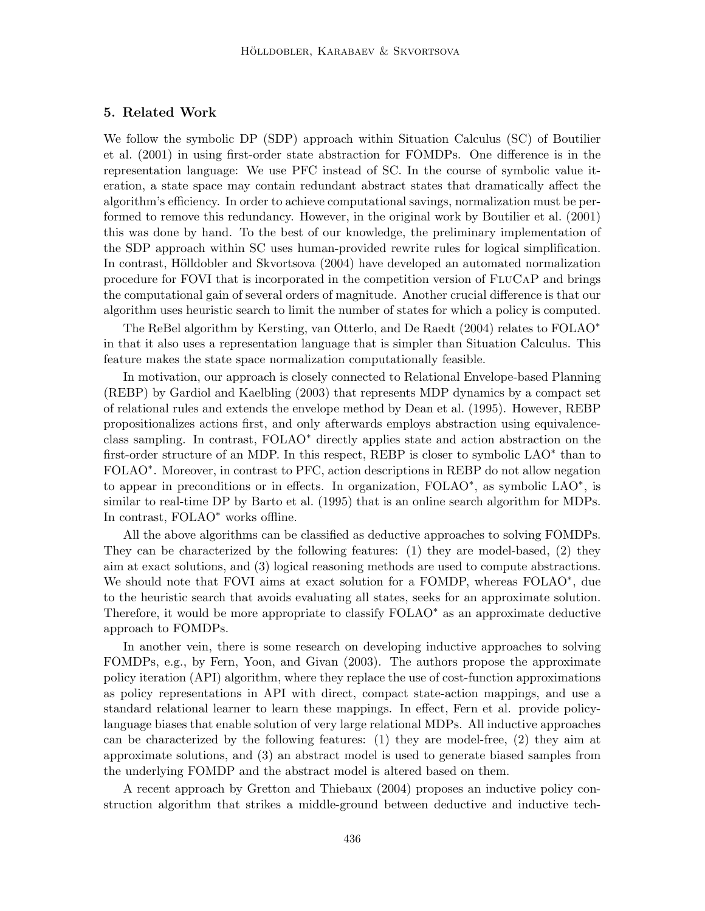### 5. Related Work

We follow the symbolic DP (SDP) approach within Situation Calculus (SC) of Boutilier et al. (2001) in using first-order state abstraction for FOMDPs. One difference is in the representation language: We use PFC instead of SC. In the course of symbolic value iteration, a state space may contain redundant abstract states that dramatically affect the algorithm's efficiency. In order to achieve computational savings, normalization must be performed to remove this redundancy. However, in the original work by Boutilier et al. (2001) this was done by hand. To the best of our knowledge, the preliminary implementation of the SDP approach within SC uses human-provided rewrite rules for logical simplification. In contrast, Hölldobler and Skvortsova  $(2004)$  have developed an automated normalization procedure for FOVI that is incorporated in the competition version of FluCaP and brings the computational gain of several orders of magnitude. Another crucial difference is that our algorithm uses heuristic search to limit the number of states for which a policy is computed.

The ReBel algorithm by Kersting, van Otterlo, and De Raedt (2004) relates to FOLAO<sup>∗</sup> in that it also uses a representation language that is simpler than Situation Calculus. This feature makes the state space normalization computationally feasible.

In motivation, our approach is closely connected to Relational Envelope-based Planning (REBP) by Gardiol and Kaelbling (2003) that represents MDP dynamics by a compact set of relational rules and extends the envelope method by Dean et al. (1995). However, REBP propositionalizes actions first, and only afterwards employs abstraction using equivalenceclass sampling. In contrast, FOLAO<sup>∗</sup> directly applies state and action abstraction on the first-order structure of an MDP. In this respect, REBP is closer to symbolic LAO<sup>\*</sup> than to FOLAO<sup>\*</sup>. Moreover, in contrast to PFC, action descriptions in REBP do not allow negation to appear in preconditions or in effects. In organization, FOLAO<sup>∗</sup>, as symbolic LAO<sup>∗</sup>, is similar to real-time DP by Barto et al. (1995) that is an online search algorithm for MDPs. In contrast, FOLAO<sup>∗</sup> works offline.

All the above algorithms can be classified as deductive approaches to solving FOMDPs. They can be characterized by the following features: (1) they are model-based, (2) they aim at exact solutions, and (3) logical reasoning methods are used to compute abstractions. We should note that FOVI aims at exact solution for a FOMDP, whereas FOLAO<sup>\*</sup>, due to the heuristic search that avoids evaluating all states, seeks for an approximate solution. Therefore, it would be more appropriate to classify FOLAO<sup>∗</sup> as an approximate deductive approach to FOMDPs.

In another vein, there is some research on developing inductive approaches to solving FOMDPs, e.g., by Fern, Yoon, and Givan (2003). The authors propose the approximate policy iteration (API) algorithm, where they replace the use of cost-function approximations as policy representations in API with direct, compact state-action mappings, and use a standard relational learner to learn these mappings. In effect, Fern et al. provide policylanguage biases that enable solution of very large relational MDPs. All inductive approaches can be characterized by the following features: (1) they are model-free, (2) they aim at approximate solutions, and (3) an abstract model is used to generate biased samples from the underlying FOMDP and the abstract model is altered based on them.

A recent approach by Gretton and Thiebaux (2004) proposes an inductive policy construction algorithm that strikes a middle-ground between deductive and inductive tech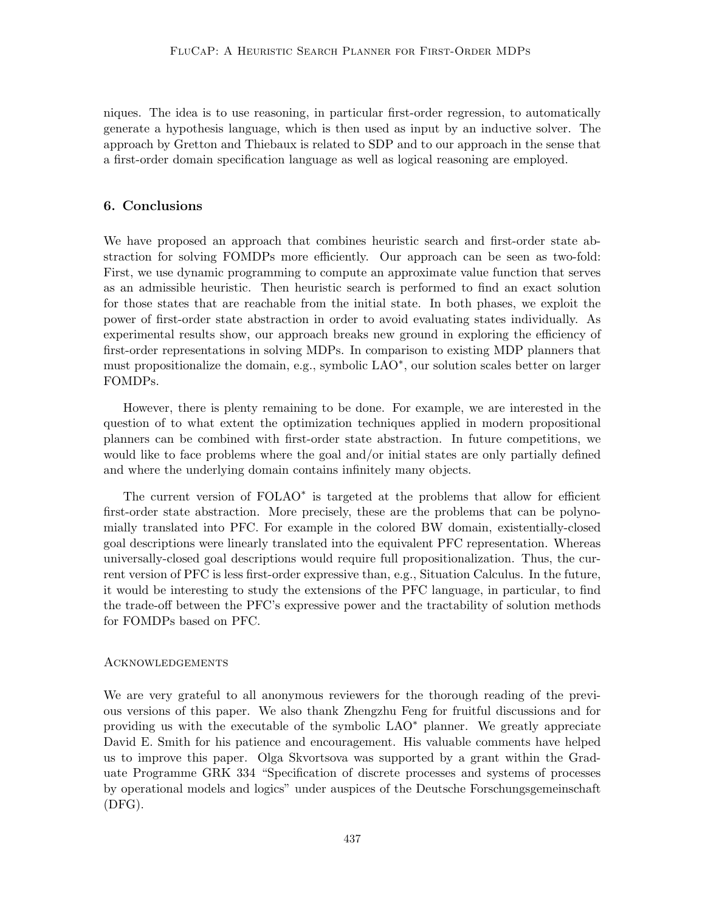niques. The idea is to use reasoning, in particular first-order regression, to automatically generate a hypothesis language, which is then used as input by an inductive solver. The approach by Gretton and Thiebaux is related to SDP and to our approach in the sense that a first-order domain specification language as well as logical reasoning are employed.

### 6. Conclusions

We have proposed an approach that combines heuristic search and first-order state abstraction for solving FOMDPs more efficiently. Our approach can be seen as two-fold: First, we use dynamic programming to compute an approximate value function that serves as an admissible heuristic. Then heuristic search is performed to find an exact solution for those states that are reachable from the initial state. In both phases, we exploit the power of first-order state abstraction in order to avoid evaluating states individually. As experimental results show, our approach breaks new ground in exploring the efficiency of first-order representations in solving MDPs. In comparison to existing MDP planners that must propositionalize the domain, e.g., symbolic LAO<sup>∗</sup>, our solution scales better on larger FOMDPs.

However, there is plenty remaining to be done. For example, we are interested in the question of to what extent the optimization techniques applied in modern propositional planners can be combined with first-order state abstraction. In future competitions, we would like to face problems where the goal and/or initial states are only partially defined and where the underlying domain contains infinitely many objects.

The current version of FOLAO<sup>\*</sup> is targeted at the problems that allow for efficient first-order state abstraction. More precisely, these are the problems that can be polynomially translated into PFC. For example in the colored BW domain, existentially-closed goal descriptions were linearly translated into the equivalent PFC representation. Whereas universally-closed goal descriptions would require full propositionalization. Thus, the current version of PFC is less first-order expressive than, e.g., Situation Calculus. In the future, it would be interesting to study the extensions of the PFC language, in particular, to find the trade-off between the PFC's expressive power and the tractability of solution methods for FOMDPs based on PFC.

### **ACKNOWLEDGEMENTS**

We are very grateful to all anonymous reviewers for the thorough reading of the previous versions of this paper. We also thank Zhengzhu Feng for fruitful discussions and for providing us with the executable of the symbolic LAO<sup>∗</sup> planner. We greatly appreciate David E. Smith for his patience and encouragement. His valuable comments have helped us to improve this paper. Olga Skvortsova was supported by a grant within the Graduate Programme GRK 334 "Specification of discrete processes and systems of processes by operational models and logics" under auspices of the Deutsche Forschungsgemeinschaft (DFG).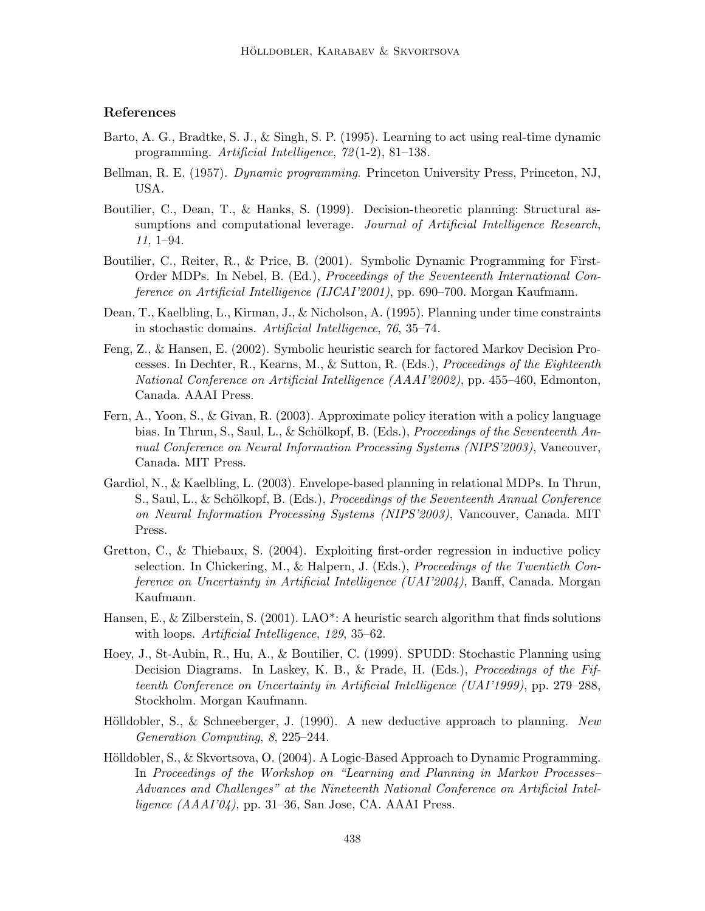# References

- Barto, A. G., Bradtke, S. J., & Singh, S. P. (1995). Learning to act using real-time dynamic programming. Artificial Intelligence, 72 (1-2), 81–138.
- Bellman, R. E. (1957). *Dynamic programming*. Princeton University Press, Princeton, NJ, USA.
- Boutilier, C., Dean, T., & Hanks, S. (1999). Decision-theoretic planning: Structural assumptions and computational leverage. Journal of Artificial Intelligence Research, 11, 1–94.
- Boutilier, C., Reiter, R., & Price, B. (2001). Symbolic Dynamic Programming for First-Order MDPs. In Nebel, B. (Ed.), Proceedings of the Seventeenth International Conference on Artificial Intelligence (IJCAI'2001), pp. 690–700. Morgan Kaufmann.
- Dean, T., Kaelbling, L., Kirman, J., & Nicholson, A. (1995). Planning under time constraints in stochastic domains. Artificial Intelligence, 76, 35–74.
- Feng, Z., & Hansen, E. (2002). Symbolic heuristic search for factored Markov Decision Processes. In Dechter, R., Kearns, M., & Sutton, R. (Eds.), Proceedings of the Eighteenth National Conference on Artificial Intelligence (AAAI'2002), pp. 455–460, Edmonton, Canada. AAAI Press.
- Fern, A., Yoon, S., & Givan, R. (2003). Approximate policy iteration with a policy language bias. In Thrun, S., Saul, L., & Schölkopf, B. (Eds.), *Proceedings of the Seventeenth An*nual Conference on Neural Information Processing Systems (NIPS'2003), Vancouver, Canada. MIT Press.
- Gardiol, N., & Kaelbling, L. (2003). Envelope-based planning in relational MDPs. In Thrun, S., Saul, L., & Schölkopf, B. (Eds.), Proceedings of the Seventeenth Annual Conference on Neural Information Processing Systems (NIPS'2003), Vancouver, Canada. MIT Press.
- Gretton, C., & Thiebaux, S. (2004). Exploiting first-order regression in inductive policy selection. In Chickering, M., & Halpern, J. (Eds.), Proceedings of the Twentieth Conference on Uncertainty in Artificial Intelligence (UAI'2004), Banff, Canada. Morgan Kaufmann.
- Hansen, E., & Zilberstein, S. (2001). LAO\*: A heuristic search algorithm that finds solutions with loops. *Artificial Intelligence*, 129, 35–62.
- Hoey, J., St-Aubin, R., Hu, A., & Boutilier, C. (1999). SPUDD: Stochastic Planning using Decision Diagrams. In Laskey, K. B., & Prade, H. (Eds.), Proceedings of the Fifteenth Conference on Uncertainty in Artificial Intelligence (UAI'1999), pp. 279–288, Stockholm. Morgan Kaufmann.
- Hölldobler, S., & Schneeberger, J. (1990). A new deductive approach to planning. New Generation Computing, 8, 225–244.
- Hölldobler, S., & Skvortsova, O. (2004). A Logic-Based Approach to Dynamic Programming. In Proceedings of the Workshop on "Learning and Planning in Markov Processes– Advances and Challenges" at the Nineteenth National Conference on Artificial Intelligence  $(AAAI'04)$ , pp. 31–36, San Jose, CA. AAAI Press.